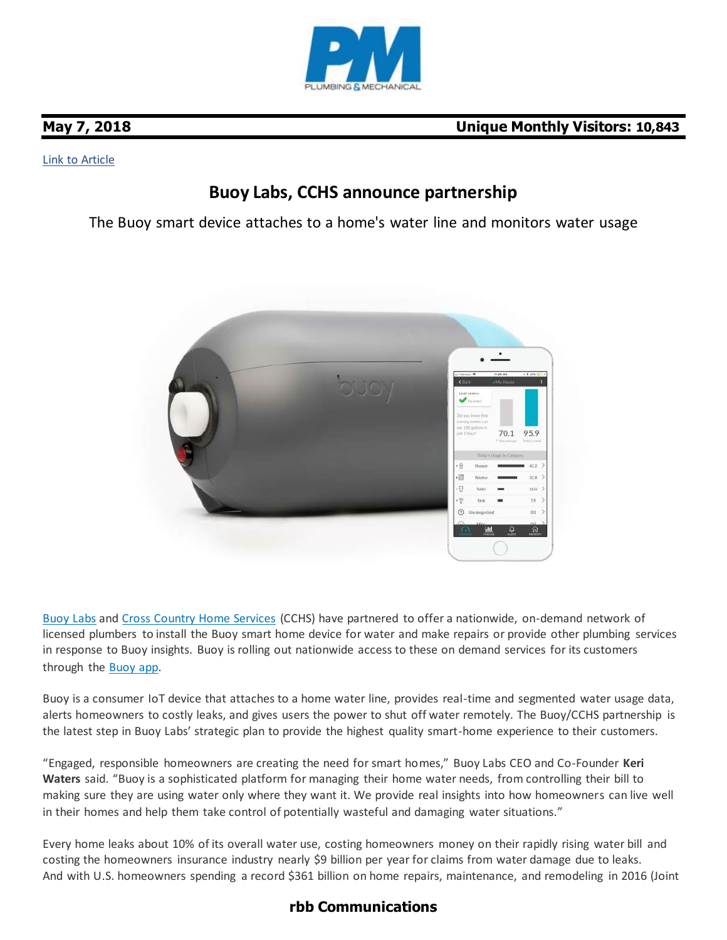

### [Link to Article](https://www.pmmag.com/articles/101379-buoy-labs-cchs-announce-partnership)

# **Buoy Labs, CCHS announce partnership**

The Buoy smart device attaches to a home's water line and monitors water usage



[Buoy Labs](https://www.buoy.ai/) and [Cross Country Home Services](http://www.cchs.com/) (CCHS) have partnered to offer a nationwide, on-demand network of licensed plumbers to install the Buoy smart home device for water and make repairs or provide other plumbing services in response to Buoy insights. Buoy is rolling out nationwide access to these on demand services for its customers through the [Buoy app.](https://itunes.apple.com/us/app/buoy-home-water/id1163916575?mt=8)

Buoy is a consumer IoT device that attaches to a home water line, provides real-time and segmented water usage data, alerts homeowners to costly leaks, and gives users the power to shut off water remotely. The Buoy/CCHS partnership is the latest step in Buoy Labs' strategic plan to provide the highest quality smart-home experience to their customers.

"Engaged, responsible homeowners are creating the need for smart homes," Buoy Labs CEO and Co-Founder **Keri Waters** said. "Buoy is a sophisticated platform for managing their home water needs, from controlling their bill to making sure they are using water only where they want it. We provide real insights into how homeowners can live well in their homes and help them take control of potentially wasteful and damaging water situations."

Every home leaks about 10% of its overall water use, costing homeowners money on their rapidly rising water bill and costing the homeowners insurance industry nearly \$9 billion per year for claims from water damage due to leaks. And with U.S. homeowners spending a record \$361 billion on home repairs, maintenance, and remodeling in 2016 (Joint

## **rbb Communications**